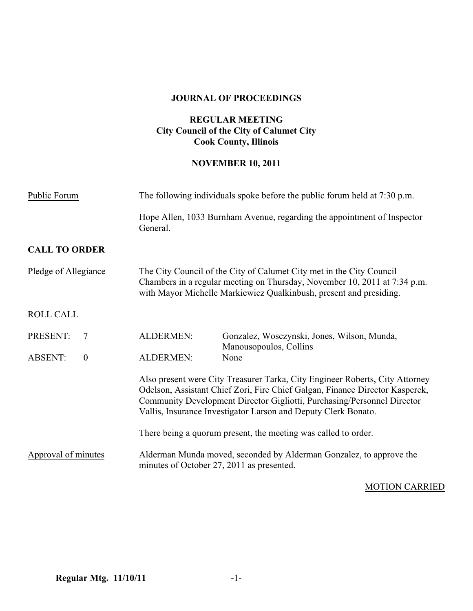#### **JOURNAL OF PROCEEDINGS**

## **REGULAR MEETING City Council of the City of Calumet City Cook County, Illinois**

### **NOVEMBER 10, 2011**

| Public Forum                   | The following individuals spoke before the public forum held at 7:30 p.m.                                                                                                                                                                                                                                 |                                                                       |
|--------------------------------|-----------------------------------------------------------------------------------------------------------------------------------------------------------------------------------------------------------------------------------------------------------------------------------------------------------|-----------------------------------------------------------------------|
|                                | Hope Allen, 1033 Burnham Avenue, regarding the appointment of Inspector<br>General.                                                                                                                                                                                                                       |                                                                       |
| <b>CALL TO ORDER</b>           |                                                                                                                                                                                                                                                                                                           |                                                                       |
| Pledge of Allegiance           | The City Council of the City of Calumet City met in the City Council<br>Chambers in a regular meeting on Thursday, November 10, 2011 at 7:34 p.m.<br>with Mayor Michelle Markiewicz Qualkinbush, present and presiding.                                                                                   |                                                                       |
| <b>ROLL CALL</b>               |                                                                                                                                                                                                                                                                                                           |                                                                       |
| PRESENT:<br>$\overline{7}$     | <b>ALDERMEN:</b>                                                                                                                                                                                                                                                                                          | Gonzalez, Wosczynski, Jones, Wilson, Munda,<br>Manousopoulos, Collins |
| <b>ABSENT:</b><br>$\mathbf{0}$ | <b>ALDERMEN:</b>                                                                                                                                                                                                                                                                                          | None                                                                  |
|                                | Also present were City Treasurer Tarka, City Engineer Roberts, City Attorney<br>Odelson, Assistant Chief Zori, Fire Chief Galgan, Finance Director Kasperek,<br>Community Development Director Gigliotti, Purchasing/Personnel Director<br>Vallis, Insurance Investigator Larson and Deputy Clerk Bonato. |                                                                       |
|                                |                                                                                                                                                                                                                                                                                                           | There being a quorum present, the meeting was called to order.        |
| Approval of minutes            | Alderman Munda moved, seconded by Alderman Gonzalez, to approve the<br>minutes of October 27, 2011 as presented.                                                                                                                                                                                          |                                                                       |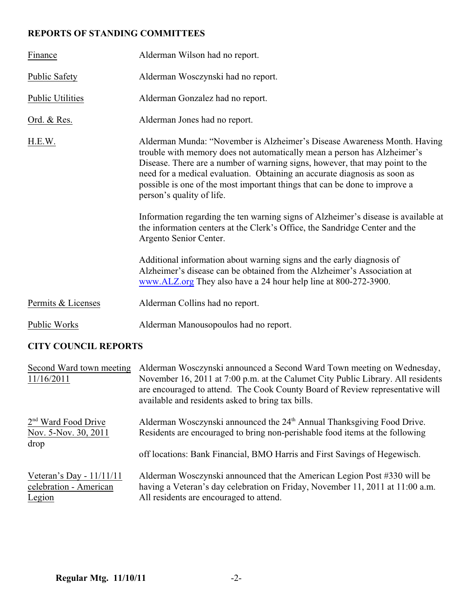# **REPORTS OF STANDING COMMITTEES**

| Finance                                                 | Alderman Wilson had no report.                                                                                                                                                                                                                                                                                                                                                                                               |  |  |
|---------------------------------------------------------|------------------------------------------------------------------------------------------------------------------------------------------------------------------------------------------------------------------------------------------------------------------------------------------------------------------------------------------------------------------------------------------------------------------------------|--|--|
| <b>Public Safety</b>                                    | Alderman Wosczynski had no report.                                                                                                                                                                                                                                                                                                                                                                                           |  |  |
| <b>Public Utilities</b>                                 | Alderman Gonzalez had no report.                                                                                                                                                                                                                                                                                                                                                                                             |  |  |
| <u>Ord. &amp; Res.</u>                                  | Alderman Jones had no report.                                                                                                                                                                                                                                                                                                                                                                                                |  |  |
| H.E.W.                                                  | Alderman Munda: "November is Alzheimer's Disease Awareness Month. Having<br>trouble with memory does not automatically mean a person has Alzheimer's<br>Disease. There are a number of warning signs, however, that may point to the<br>need for a medical evaluation. Obtaining an accurate diagnosis as soon as<br>possible is one of the most important things that can be done to improve a<br>person's quality of life. |  |  |
|                                                         | Information regarding the ten warning signs of Alzheimer's disease is available at<br>the information centers at the Clerk's Office, the Sandridge Center and the<br>Argento Senior Center.                                                                                                                                                                                                                                  |  |  |
|                                                         | Additional information about warning signs and the early diagnosis of<br>Alzheimer's disease can be obtained from the Alzheimer's Association at<br>www.ALZ.org They also have a 24 hour help line at 800-272-3900.                                                                                                                                                                                                          |  |  |
| Permits & Licenses                                      | Alderman Collins had no report.                                                                                                                                                                                                                                                                                                                                                                                              |  |  |
| Public Works                                            | Alderman Manousopoulos had no report.                                                                                                                                                                                                                                                                                                                                                                                        |  |  |
| $\alpha$ imv $\iota$ $\alpha$ ativi $\alpha$ it bebaber |                                                                                                                                                                                                                                                                                                                                                                                                                              |  |  |

# **CITY COUNCIL REPORTS**

| Second Ward town meeting   | Alderman Wosczynski announced a Second Ward Town meeting on Wednesday,                                                                                                                                                 |
|----------------------------|------------------------------------------------------------------------------------------------------------------------------------------------------------------------------------------------------------------------|
| 11/16/2011                 | November 16, 2011 at 7:00 p.m. at the Calumet City Public Library. All residents<br>are encouraged to attend. The Cook County Board of Review representative will<br>available and residents asked to bring tax bills. |
| $2nd$ Ward Food Drive      | Alderman Wosczynski announced the 24 <sup>th</sup> Annual Thanksgiving Food Drive.                                                                                                                                     |
| Nov. 5-Nov. 30, 2011       | Residents are encouraged to bring non-perishable food items at the following                                                                                                                                           |
| drop                       | off locations: Bank Financial, BMO Harris and First Savings of Hegewisch.                                                                                                                                              |
| Veteran's Day - $11/11/11$ | Alderman Wosczynski announced that the American Legion Post #330 will be                                                                                                                                               |
| celebration - American     | having a Veteran's day celebration on Friday, November 11, 2011 at 11:00 a.m.                                                                                                                                          |
| Legion                     | All residents are encouraged to attend.                                                                                                                                                                                |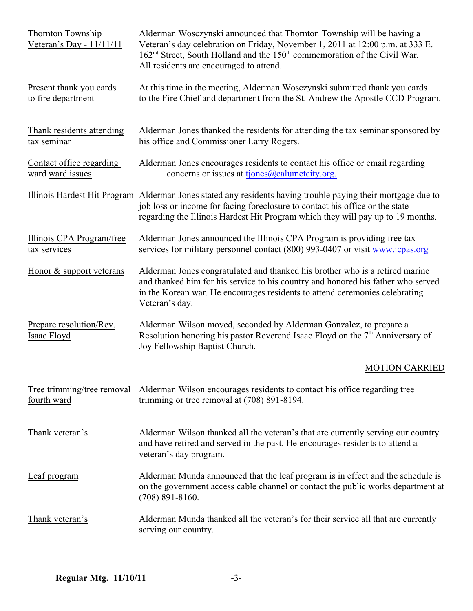| Thornton Township<br>Veteran's Day - 11/11/11 | Alderman Wosczynski announced that Thornton Township will be having a<br>Veteran's day celebration on Friday, November 1, 2011 at 12:00 p.m. at 333 E.<br>162 <sup>nd</sup> Street, South Holland and the 150 <sup>th</sup> commemoration of the Civil War,<br>All residents are encouraged to attend. |
|-----------------------------------------------|--------------------------------------------------------------------------------------------------------------------------------------------------------------------------------------------------------------------------------------------------------------------------------------------------------|
| Present thank you cards<br>to fire department | At this time in the meeting, Alderman Wosczynski submitted thank you cards<br>to the Fire Chief and department from the St. Andrew the Apostle CCD Program.                                                                                                                                            |
| Thank residents attending<br>tax seminar      | Alderman Jones thanked the residents for attending the tax seminar sponsored by<br>his office and Commissioner Larry Rogers.                                                                                                                                                                           |
| Contact office regarding<br>ward ward issues  | Alderman Jones encourages residents to contact his office or email regarding<br>concerns or issues at tjones@calumetcity.org.                                                                                                                                                                          |
|                                               | Illinois Hardest Hit Program Alderman Jones stated any residents having trouble paying their mortgage due to<br>job loss or income for facing foreclosure to contact his office or the state<br>regarding the Illinois Hardest Hit Program which they will pay up to 19 months.                        |
| Illinois CPA Program/free<br>tax services     | Alderman Jones announced the Illinois CPA Program is providing free tax<br>services for military personnel contact (800) 993-0407 or visit www.icpas.org                                                                                                                                               |
| Honor & support veterans                      | Alderman Jones congratulated and thanked his brother who is a retired marine<br>and thanked him for his service to his country and honored his father who served<br>in the Korean war. He encourages residents to attend ceremonies celebrating<br>Veteran's day.                                      |
| Prepare resolution/Rev.<br>Isaac Floyd        | Alderman Wilson moved, seconded by Alderman Gonzalez, to prepare a<br>Resolution honoring his pastor Reverend Isaac Floyd on the $7th$ Anniversary of<br>Joy Fellowship Baptist Church.                                                                                                                |
|                                               | <b>MOTION CARRIED</b>                                                                                                                                                                                                                                                                                  |
| Tree trimming/tree removal<br>fourth ward     | Alderman Wilson encourages residents to contact his office regarding tree<br>trimming or tree removal at (708) 891-8194.                                                                                                                                                                               |
| Thank veteran's                               | Alderman Wilson thanked all the veteran's that are currently serving our country<br>and have retired and served in the past. He encourages residents to attend a<br>veteran's day program.                                                                                                             |
| Leaf program                                  | Alderman Munda announced that the leaf program is in effect and the schedule is<br>on the government access cable channel or contact the public works department at<br>$(708) 891 - 8160.$                                                                                                             |
| Thank veteran's                               | Alderman Munda thanked all the veteran's for their service all that are currently<br>serving our country.                                                                                                                                                                                              |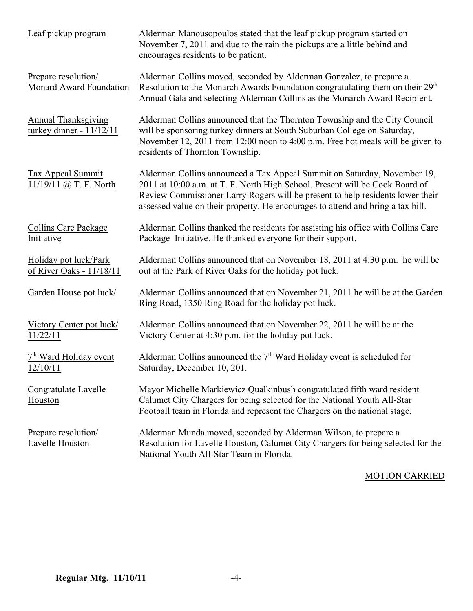| Leaf pickup program                                      | Alderman Manousopoulos stated that the leaf pickup program started on<br>November 7, 2011 and due to the rain the pickups are a little behind and<br>encourages residents to be patient.                                                                                                                                      |
|----------------------------------------------------------|-------------------------------------------------------------------------------------------------------------------------------------------------------------------------------------------------------------------------------------------------------------------------------------------------------------------------------|
| Prepare resolution/<br>Monard Award Foundation           | Alderman Collins moved, seconded by Alderman Gonzalez, to prepare a<br>Resolution to the Monarch Awards Foundation congratulating them on their 29 <sup>th</sup><br>Annual Gala and selecting Alderman Collins as the Monarch Award Recipient.                                                                                |
| <b>Annual Thanksgiving</b><br>turkey dinner - $11/12/11$ | Alderman Collins announced that the Thornton Township and the City Council<br>will be sponsoring turkey dinners at South Suburban College on Saturday,<br>November 12, 2011 from 12:00 noon to 4:00 p.m. Free hot meals will be given to<br>residents of Thornton Township.                                                   |
| <b>Tax Appeal Summit</b><br>$11/19/11$ @ T. F. North     | Alderman Collins announced a Tax Appeal Summit on Saturday, November 19,<br>2011 at 10:00 a.m. at T. F. North High School. Present will be Cook Board of<br>Review Commissioner Larry Rogers will be present to help residents lower their<br>assessed value on their property. He encourages to attend and bring a tax bill. |
| Collins Care Package<br>Initiative                       | Alderman Collins thanked the residents for assisting his office with Collins Care<br>Package Initiative. He thanked everyone for their support.                                                                                                                                                                               |
| Holiday pot luck/Park<br>of River Oaks - 11/18/11        | Alderman Collins announced that on November 18, 2011 at 4:30 p.m. he will be<br>out at the Park of River Oaks for the holiday pot luck.                                                                                                                                                                                       |
| Garden House pot luck/                                   | Alderman Collins announced that on November 21, 2011 he will be at the Garden<br>Ring Road, 1350 Ring Road for the holiday pot luck.                                                                                                                                                                                          |
| Victory Center pot luck/<br>11/22/11                     | Alderman Collins announced that on November 22, 2011 he will be at the<br>Victory Center at 4:30 p.m. for the holiday pot luck.                                                                                                                                                                                               |
| 7 <sup>th</sup> Ward Holiday event<br><u>12/10/11</u>    | Alderman Collins announced the $7th$ Ward Holiday event is scheduled for<br>Saturday, December 10, 201.                                                                                                                                                                                                                       |
| Congratulate Lavelle<br>Houston                          | Mayor Michelle Markiewicz Qualkinbush congratulated fifth ward resident<br>Calumet City Chargers for being selected for the National Youth All-Star<br>Football team in Florida and represent the Chargers on the national stage.                                                                                             |
| Prepare resolution/<br>Lavelle Houston                   | Alderman Munda moved, seconded by Alderman Wilson, to prepare a<br>Resolution for Lavelle Houston, Calumet City Chargers for being selected for the<br>National Youth All-Star Team in Florida.                                                                                                                               |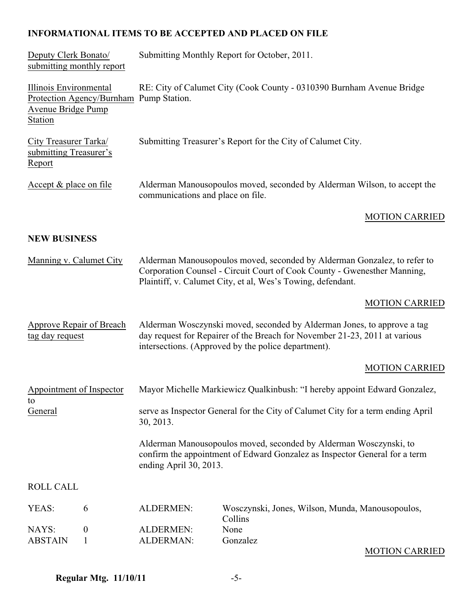# **INFORMATIONAL ITEMS TO BE ACCEPTED AND PLACED ON FILE**

| Deputy Clerk Bonato/<br>submitting monthly report                                                         | Submitting Monthly Report for October, 2011.                                                                  |                                                                                                                                                                                                                     |  |
|-----------------------------------------------------------------------------------------------------------|---------------------------------------------------------------------------------------------------------------|---------------------------------------------------------------------------------------------------------------------------------------------------------------------------------------------------------------------|--|
| Illinois Environmental<br>Protection Agency/Burnham Pump Station.<br><b>Avenue Bridge Pump</b><br>Station | RE: City of Calumet City (Cook County - 0310390 Burnham Avenue Bridge                                         |                                                                                                                                                                                                                     |  |
| City Treasurer Tarka/<br>submitting Treasurer's<br>Report                                                 | Submitting Treasurer's Report for the City of Calumet City.                                                   |                                                                                                                                                                                                                     |  |
| Accept & place on file                                                                                    | Alderman Manousopoulos moved, seconded by Alderman Wilson, to accept the<br>communications and place on file. |                                                                                                                                                                                                                     |  |
|                                                                                                           |                                                                                                               | <b>MOTION CARRIED</b>                                                                                                                                                                                               |  |
| <b>NEW BUSINESS</b>                                                                                       |                                                                                                               |                                                                                                                                                                                                                     |  |
| Manning v. Calumet City                                                                                   |                                                                                                               | Alderman Manousopoulos moved, seconded by Alderman Gonzalez, to refer to<br>Corporation Counsel - Circuit Court of Cook County - Gwenesther Manning,<br>Plaintiff, v. Calumet City, et al, Wes's Towing, defendant. |  |
|                                                                                                           |                                                                                                               | <b>MOTION CARRIED</b>                                                                                                                                                                                               |  |
| Approve Repair of Breach<br>tag day request                                                               |                                                                                                               | Alderman Wosczynski moved, seconded by Alderman Jones, to approve a tag<br>day request for Repairer of the Breach for November 21-23, 2011 at various<br>intersections. (Approved by the police department).        |  |
|                                                                                                           |                                                                                                               | <b>MOTION CARRIED</b>                                                                                                                                                                                               |  |
| Appointment of Inspector                                                                                  |                                                                                                               | Mayor Michelle Markiewicz Qualkinbush: "I hereby appoint Edward Gonzalez,                                                                                                                                           |  |
| to<br>General                                                                                             | serve as Inspector General for the City of Calumet City for a term ending April<br>30, 2013.                  |                                                                                                                                                                                                                     |  |
|                                                                                                           | ending April 30, 2013.                                                                                        | Alderman Manousopoulos moved, seconded by Alderman Wosczynski, to<br>confirm the appointment of Edward Gonzalez as Inspector General for a term                                                                     |  |
| <b>ROLL CALL</b>                                                                                          |                                                                                                               |                                                                                                                                                                                                                     |  |
| YEAS:<br>6                                                                                                | ALDERMEN:                                                                                                     | Wosczynski, Jones, Wilson, Munda, Manousopoulos,<br>Collins                                                                                                                                                         |  |
| NAYS:<br>$\boldsymbol{0}$<br><b>ABSTAIN</b><br>1                                                          | <b>ALDERMEN:</b><br><b>ALDERMAN:</b>                                                                          | None<br>Gonzalez                                                                                                                                                                                                    |  |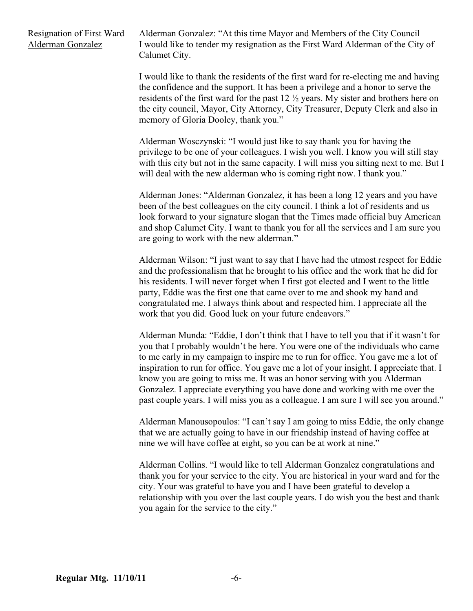Resignation of First Ward Alderman Gonzalez: "At this time Mayor and Members of the City Council Alderman Gonzalez I would like to tender my resignation as the First Ward Alderman of the City of Calumet City.

> I would like to thank the residents of the first ward for re-electing me and having the confidence and the support. It has been a privilege and a honor to serve the residents of the first ward for the past 12 ½ years. My sister and brothers here on the city council, Mayor, City Attorney, City Treasurer, Deputy Clerk and also in memory of Gloria Dooley, thank you."

Alderman Wosczynski: "I would just like to say thank you for having the privilege to be one of your colleagues. I wish you well. I know you will still stay with this city but not in the same capacity. I will miss you sitting next to me. But I will deal with the new alderman who is coming right now. I thank you."

Alderman Jones: "Alderman Gonzalez, it has been a long 12 years and you have been of the best colleagues on the city council. I think a lot of residents and us look forward to your signature slogan that the Times made official buy American and shop Calumet City. I want to thank you for all the services and I am sure you are going to work with the new alderman."

Alderman Wilson: "I just want to say that I have had the utmost respect for Eddie and the professionalism that he brought to his office and the work that he did for his residents. I will never forget when I first got elected and I went to the little party, Eddie was the first one that came over to me and shook my hand and congratulated me. I always think about and respected him. I appreciate all the work that you did. Good luck on your future endeavors."

Alderman Munda: "Eddie, I don't think that I have to tell you that if it wasn't for you that I probably wouldn't be here. You were one of the individuals who came to me early in my campaign to inspire me to run for office. You gave me a lot of inspiration to run for office. You gave me a lot of your insight. I appreciate that. I know you are going to miss me. It was an honor serving with you Alderman Gonzalez. I appreciate everything you have done and working with me over the past couple years. I will miss you as a colleague. I am sure I will see you around."

Alderman Manousopoulos: "I can't say I am going to miss Eddie, the only change that we are actually going to have in our friendship instead of having coffee at nine we will have coffee at eight, so you can be at work at nine."

Alderman Collins. "I would like to tell Alderman Gonzalez congratulations and thank you for your service to the city. You are historical in your ward and for the city. Your was grateful to have you and I have been grateful to develop a relationship with you over the last couple years. I do wish you the best and thank you again for the service to the city."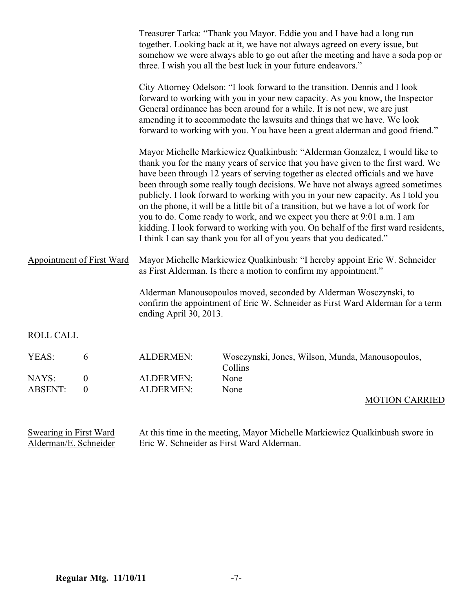|                           |                                      |                                                                                                                                                                               | Treasurer Tarka: "Thank you Mayor. Eddie you and I have had a long run<br>together. Looking back at it, we have not always agreed on every issue, but<br>somehow we were always able to go out after the meeting and have a soda pop or<br>three. I wish you all the best luck in your future endeavors."                                                                                                                                                                                                                                                                                                                                                                                                                                                   |
|---------------------------|--------------------------------------|-------------------------------------------------------------------------------------------------------------------------------------------------------------------------------|-------------------------------------------------------------------------------------------------------------------------------------------------------------------------------------------------------------------------------------------------------------------------------------------------------------------------------------------------------------------------------------------------------------------------------------------------------------------------------------------------------------------------------------------------------------------------------------------------------------------------------------------------------------------------------------------------------------------------------------------------------------|
|                           |                                      |                                                                                                                                                                               | City Attorney Odelson: "I look forward to the transition. Dennis and I look<br>forward to working with you in your new capacity. As you know, the Inspector<br>General ordinance has been around for a while. It is not new, we are just<br>amending it to accommodate the lawsuits and things that we have. We look<br>forward to working with you. You have been a great alderman and good friend."                                                                                                                                                                                                                                                                                                                                                       |
|                           |                                      |                                                                                                                                                                               | Mayor Michelle Markiewicz Qualkinbush: "Alderman Gonzalez, I would like to<br>thank you for the many years of service that you have given to the first ward. We<br>have been through 12 years of serving together as elected officials and we have<br>been through some really tough decisions. We have not always agreed sometimes<br>publicly. I look forward to working with you in your new capacity. As I told you<br>on the phone, it will be a little bit of a transition, but we have a lot of work for<br>you to do. Come ready to work, and we expect you there at 9:01 a.m. I am<br>kidding. I look forward to working with you. On behalf of the first ward residents,<br>I think I can say thank you for all of you years that you dedicated." |
| Appointment of First Ward |                                      |                                                                                                                                                                               | Mayor Michelle Markiewicz Qualkinbush: "I hereby appoint Eric W. Schneider<br>as First Alderman. Is there a motion to confirm my appointment."                                                                                                                                                                                                                                                                                                                                                                                                                                                                                                                                                                                                              |
|                           |                                      | Alderman Manousopoulos moved, seconded by Alderman Wosczynski, to<br>confirm the appointment of Eric W. Schneider as First Ward Alderman for a term<br>ending April 30, 2013. |                                                                                                                                                                                                                                                                                                                                                                                                                                                                                                                                                                                                                                                                                                                                                             |
| <b>ROLL CALL</b>          |                                      |                                                                                                                                                                               |                                                                                                                                                                                                                                                                                                                                                                                                                                                                                                                                                                                                                                                                                                                                                             |
| YEAS:                     | 6                                    | ALDERMEN:                                                                                                                                                                     | Wosczynski, Jones, Wilson, Munda, Manousopoulos,<br>Collins                                                                                                                                                                                                                                                                                                                                                                                                                                                                                                                                                                                                                                                                                                 |
| NAYS:<br><b>ABSENT:</b>   | $\boldsymbol{0}$<br>$\boldsymbol{0}$ | ALDERMEN:<br>ALDERMEN:                                                                                                                                                        | None<br>None                                                                                                                                                                                                                                                                                                                                                                                                                                                                                                                                                                                                                                                                                                                                                |
|                           |                                      |                                                                                                                                                                               | <b>MOTION CARRIED</b>                                                                                                                                                                                                                                                                                                                                                                                                                                                                                                                                                                                                                                                                                                                                       |

| Swearing in First Ward | At this time in the meeting, Mayor Michelle Markiewicz Qualkinbush swore in |
|------------------------|-----------------------------------------------------------------------------|
| Alderman/E. Schneider  | Eric W. Schneider as First Ward Alderman.                                   |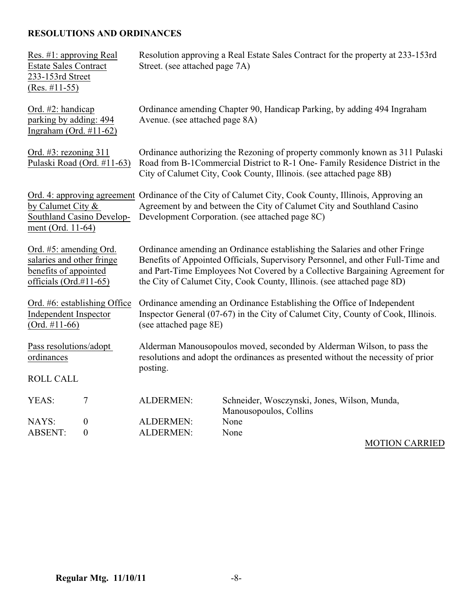# **RESOLUTIONS AND ORDINANCES**

| Res. #1: approving Real<br><b>Estate Sales Contract</b><br>233-153rd Street<br>$(Res. \#11-55)$              | Resolution approving a Real Estate Sales Contract for the property at 233-153rd<br>Street. (see attached page 7A)                                                                                                                                                                                                        |                                                                        |  |
|--------------------------------------------------------------------------------------------------------------|--------------------------------------------------------------------------------------------------------------------------------------------------------------------------------------------------------------------------------------------------------------------------------------------------------------------------|------------------------------------------------------------------------|--|
| Ord. #2: handicap<br>parking by adding: 494<br>Ingraham (Ord. $#11-62$ )                                     | Ordinance amending Chapter 90, Handicap Parking, by adding 494 Ingraham<br>Avenue. (see attached page 8A)                                                                                                                                                                                                                |                                                                        |  |
| Ord. $#3$ : rezoning 311<br>Pulaski Road (Ord. #11-63)                                                       | Ordinance authorizing the Rezoning of property commonly known as 311 Pulaski<br>Road from B-1Commercial District to R-1 One- Family Residence District in the<br>City of Calumet City, Cook County, Illinois. (see attached page 8B)                                                                                     |                                                                        |  |
| by Calumet City $\&$<br>Southland Casino Develop-<br>ment (Ord. 11-64)                                       | Ord. 4: approving agreement Ordinance of the City of Calumet City, Cook County, Illinois, Approving an<br>Agreement by and between the City of Calumet City and Southland Casino<br>Development Corporation. (see attached page 8C)                                                                                      |                                                                        |  |
| Ord. #5: amending Ord.<br>salaries and other fringe<br>benefits of appointed<br>officials ( $Ord. \#11-65$ ) | Ordinance amending an Ordinance establishing the Salaries and other Fringe<br>Benefits of Appointed Officials, Supervisory Personnel, and other Full-Time and<br>and Part-Time Employees Not Covered by a Collective Bargaining Agreement for<br>the City of Calumet City, Cook County, Illinois. (see attached page 8D) |                                                                        |  |
| Ord. #6: establishing Office<br><b>Independent Inspector</b><br>$(Ord. #11-66)$                              | Ordinance amending an Ordinance Establishing the Office of Independent<br>Inspector General (07-67) in the City of Calumet City, County of Cook, Illinois.<br>(see attached page 8E)                                                                                                                                     |                                                                        |  |
| Pass resolutions/adopt<br>ordinances<br><b>ROLL CALL</b>                                                     | Alderman Manousopoulos moved, seconded by Alderman Wilson, to pass the<br>resolutions and adopt the ordinances as presented without the necessity of prior<br>posting.                                                                                                                                                   |                                                                        |  |
| 7<br>YEAS:                                                                                                   | <b>ALDERMEN:</b>                                                                                                                                                                                                                                                                                                         | Schneider, Wosczynski, Jones, Wilson, Munda,<br>Manousopoulos, Collins |  |
| $\boldsymbol{0}$<br>NAYS:<br><b>ABSENT:</b><br>$\boldsymbol{0}$                                              | <b>ALDERMEN:</b><br><b>ALDERMEN:</b>                                                                                                                                                                                                                                                                                     | None<br>None<br>$\frac{1}{2}$                                          |  |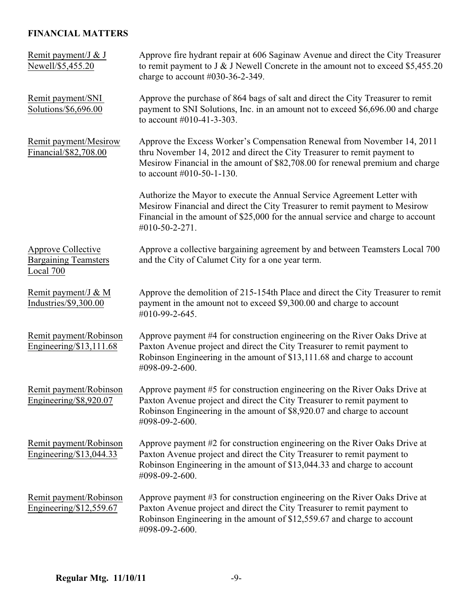# **FINANCIAL MATTERS**

| Remit payment/J & J<br>Newell/\$5,455.20                       | Approve fire hydrant repair at 606 Saginaw Avenue and direct the City Treasurer<br>to remit payment to J & J Newell Concrete in the amount not to exceed \$5,455.20<br>charge to account $\#030-36-2-349$ .                                                          |
|----------------------------------------------------------------|----------------------------------------------------------------------------------------------------------------------------------------------------------------------------------------------------------------------------------------------------------------------|
| Remit payment/SNI<br>Solutions/\$6,696.00                      | Approve the purchase of 864 bags of salt and direct the City Treasurer to remit<br>payment to SNI Solutions, Inc. in an amount not to exceed \$6,696.00 and charge<br>to account $\#010-41-3-303$ .                                                                  |
| Remit payment/Mesirow<br>Financial/\$82,708.00                 | Approve the Excess Worker's Compensation Renewal from November 14, 2011<br>thru November 14, 2012 and direct the City Treasurer to remit payment to<br>Mesirow Financial in the amount of \$82,708.00 for renewal premium and charge<br>to account $#010-50-1-130$ . |
|                                                                | Authorize the Mayor to execute the Annual Service Agreement Letter with<br>Mesirow Financial and direct the City Treasurer to remit payment to Mesirow<br>Financial in the amount of \$25,000 for the annual service and charge to account<br>#010-50-2-271.         |
| Approve Collective<br><b>Bargaining Teamsters</b><br>Local 700 | Approve a collective bargaining agreement by and between Teamsters Local 700<br>and the City of Calumet City for a one year term.                                                                                                                                    |
| Remit payment/J & M<br>Industries/\$9,300.00                   | Approve the demolition of 215-154th Place and direct the City Treasurer to remit<br>payment in the amount not to exceed \$9,300.00 and charge to account<br>#010-99-2-645.                                                                                           |
| Remit payment/Robinson<br>Engineering/\$13,111.68              | Approve payment #4 for construction engineering on the River Oaks Drive at<br>Paxton Avenue project and direct the City Treasurer to remit payment to<br>Robinson Engineering in the amount of \$13,111.68 and charge to account<br>#098-09-2-600.                   |
| Remit payment/Robinson<br>Engineering/\$8,920.07               | Approve payment #5 for construction engineering on the River Oaks Drive at<br>Paxton Avenue project and direct the City Treasurer to remit payment to<br>Robinson Engineering in the amount of \$8,920.07 and charge to account<br>#098-09-2-600.                    |
| Remit payment/Robinson<br>Engineering/ $$13,044.33$            | Approve payment #2 for construction engineering on the River Oaks Drive at<br>Paxton Avenue project and direct the City Treasurer to remit payment to<br>Robinson Engineering in the amount of \$13,044.33 and charge to account<br>#098-09-2-600.                   |
| Remit payment/Robinson<br>Engineering/\$12,559.67              | Approve payment #3 for construction engineering on the River Oaks Drive at<br>Paxton Avenue project and direct the City Treasurer to remit payment to<br>Robinson Engineering in the amount of \$12,559.67 and charge to account<br>#098-09-2-600.                   |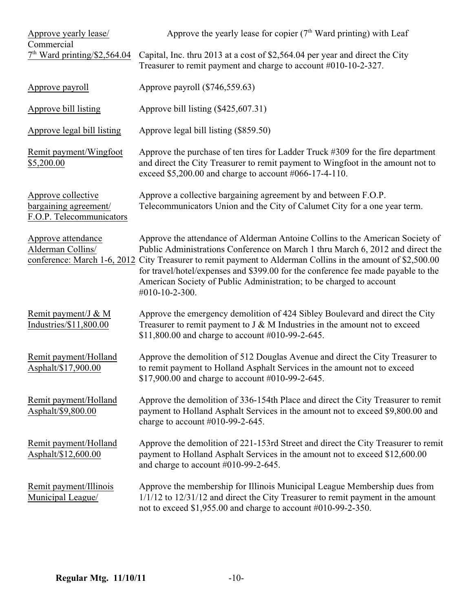| Approve yearly lease/<br>Commercial                                     | Approve the yearly lease for copier $(7th$ Ward printing) with Leaf                                                                                                                                                                                                                                                                                                                                                                                          |  |  |
|-------------------------------------------------------------------------|--------------------------------------------------------------------------------------------------------------------------------------------------------------------------------------------------------------------------------------------------------------------------------------------------------------------------------------------------------------------------------------------------------------------------------------------------------------|--|--|
| $7th$ Ward printing/\$2,564.04                                          | Capital, Inc. thru 2013 at a cost of \$2,564.04 per year and direct the City<br>Treasurer to remit payment and charge to account $#010-10-2-327$ .                                                                                                                                                                                                                                                                                                           |  |  |
| Approve payroll                                                         | Approve payroll (\$746,559.63)                                                                                                                                                                                                                                                                                                                                                                                                                               |  |  |
| Approve bill listing                                                    | Approve bill listing (\$425,607.31)                                                                                                                                                                                                                                                                                                                                                                                                                          |  |  |
| Approve legal bill listing                                              | Approve legal bill listing (\$859.50)                                                                                                                                                                                                                                                                                                                                                                                                                        |  |  |
| Remit payment/Wingfoot<br>\$5,200.00                                    | Approve the purchase of ten tires for Ladder Truck #309 for the fire department<br>and direct the City Treasurer to remit payment to Wingfoot in the amount not to<br>exceed \$5,200.00 and charge to account #066-17-4-110.                                                                                                                                                                                                                                 |  |  |
| Approve collective<br>bargaining agreement/<br>F.O.P. Telecommunicators | Approve a collective bargaining agreement by and between F.O.P.<br>Telecommunicators Union and the City of Calumet City for a one year term.                                                                                                                                                                                                                                                                                                                 |  |  |
| Approve attendance<br>Alderman Collins/                                 | Approve the attendance of Alderman Antoine Collins to the American Society of<br>Public Administrations Conference on March 1 thru March 6, 2012 and direct the<br>conference: March 1-6, 2012 City Treasurer to remit payment to Alderman Collins in the amount of \$2,500.00<br>for travel/hotel/expenses and \$399.00 for the conference fee made payable to the<br>American Society of Public Administration; to be charged to account<br>#010-10-2-300. |  |  |
| Remit payment/J & M<br>Industries/\$11,800.00                           | Approve the emergency demolition of 424 Sibley Boulevard and direct the City<br>Treasurer to remit payment to $J \& M$ Industries in the amount not to exceed<br>\$11,800.00 and charge to account #010-99-2-645.                                                                                                                                                                                                                                            |  |  |
| Remit payment/Holland<br>Asphalt/\$17,900.00                            | Approve the demolition of 512 Douglas Avenue and direct the City Treasurer to<br>to remit payment to Holland Asphalt Services in the amount not to exceed<br>\$17,900.00 and charge to account #010-99-2-645.                                                                                                                                                                                                                                                |  |  |
| Remit payment/Holland<br>Asphalt/\$9,800.00                             | Approve the demolition of 336-154th Place and direct the City Treasurer to remit<br>payment to Holland Asphalt Services in the amount not to exceed \$9,800.00 and<br>charge to account $#010-99-2-645$ .                                                                                                                                                                                                                                                    |  |  |
| Remit payment/Holland<br>Asphalt/\$12,600.00                            | Approve the demolition of 221-153rd Street and direct the City Treasurer to remit<br>payment to Holland Asphalt Services in the amount not to exceed \$12,600.00<br>and charge to account $#010-99-2-645$ .                                                                                                                                                                                                                                                  |  |  |
| Remit payment/Illinois<br>Municipal League/                             | Approve the membership for Illinois Municipal League Membership dues from<br>$1/1/12$ to $12/31/12$ and direct the City Treasurer to remit payment in the amount<br>not to exceed \$1,955.00 and charge to account #010-99-2-350.                                                                                                                                                                                                                            |  |  |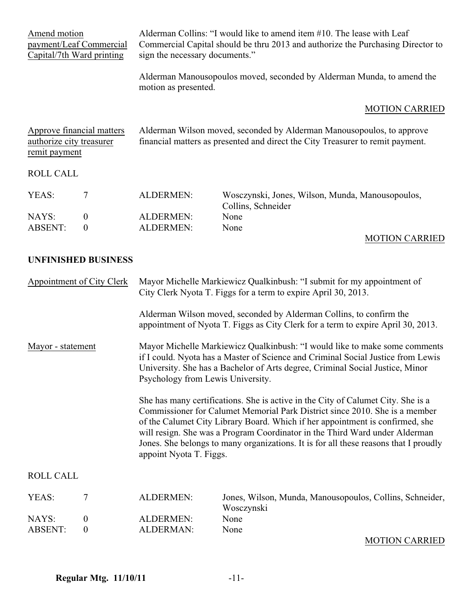| Amend motion<br>payment/Leaf Commercial<br>Capital/7th Ward printing   |                                      | sign the necessary documents."                                                                                                                                                                                                                                                                                                                                                                                                                     | Alderman Collins: "I would like to amend item #10. The lease with Leaf<br>Commercial Capital should be thru 2013 and authorize the Purchasing Director to |
|------------------------------------------------------------------------|--------------------------------------|----------------------------------------------------------------------------------------------------------------------------------------------------------------------------------------------------------------------------------------------------------------------------------------------------------------------------------------------------------------------------------------------------------------------------------------------------|-----------------------------------------------------------------------------------------------------------------------------------------------------------|
|                                                                        |                                      | motion as presented.                                                                                                                                                                                                                                                                                                                                                                                                                               | Alderman Manousopoulos moved, seconded by Alderman Munda, to amend the                                                                                    |
|                                                                        |                                      |                                                                                                                                                                                                                                                                                                                                                                                                                                                    | <b>MOTION CARRIED</b>                                                                                                                                     |
| Approve financial matters<br>authorize city treasurer<br>remit payment |                                      | Alderman Wilson moved, seconded by Alderman Manousopoulos, to approve<br>financial matters as presented and direct the City Treasurer to remit payment.                                                                                                                                                                                                                                                                                            |                                                                                                                                                           |
| <b>ROLL CALL</b>                                                       |                                      |                                                                                                                                                                                                                                                                                                                                                                                                                                                    |                                                                                                                                                           |
| YEAS:                                                                  | 7                                    | <b>ALDERMEN:</b>                                                                                                                                                                                                                                                                                                                                                                                                                                   | Wosczynski, Jones, Wilson, Munda, Manousopoulos,<br>Collins, Schneider                                                                                    |
| NAYS:<br><b>ABSENT:</b>                                                | $\boldsymbol{0}$<br>$\boldsymbol{0}$ | <b>ALDERMEN:</b><br><b>ALDERMEN:</b>                                                                                                                                                                                                                                                                                                                                                                                                               | None<br>None                                                                                                                                              |
|                                                                        |                                      |                                                                                                                                                                                                                                                                                                                                                                                                                                                    | <b>MOTION CARRIED</b>                                                                                                                                     |
|                                                                        | <b>UNFINISHED BUSINESS</b>           |                                                                                                                                                                                                                                                                                                                                                                                                                                                    |                                                                                                                                                           |
| <b>Appointment of City Clerk</b>                                       |                                      |                                                                                                                                                                                                                                                                                                                                                                                                                                                    | Mayor Michelle Markiewicz Qualkinbush: "I submit for my appointment of<br>City Clerk Nyota T. Figgs for a term to expire April 30, 2013.                  |
|                                                                        |                                      |                                                                                                                                                                                                                                                                                                                                                                                                                                                    | Alderman Wilson moved, seconded by Alderman Collins, to confirm the<br>appointment of Nyota T. Figgs as City Clerk for a term to expire April 30, 2013.   |
| Mayor - statement                                                      |                                      | Mayor Michelle Markiewicz Qualkinbush: "I would like to make some comments<br>if I could. Nyota has a Master of Science and Criminal Social Justice from Lewis<br>University. She has a Bachelor of Arts degree, Criminal Social Justice, Minor<br>Psychology from Lewis University.                                                                                                                                                               |                                                                                                                                                           |
|                                                                        |                                      | She has many certifications. She is active in the City of Calumet City. She is a<br>Commissioner for Calumet Memorial Park District since 2010. She is a member<br>of the Calumet City Library Board. Which if her appointment is confirmed, she<br>will resign. She was a Program Coordinator in the Third Ward under Alderman<br>Jones. She belongs to many organizations. It is for all these reasons that I proudly<br>appoint Nyota T. Figgs. |                                                                                                                                                           |
| <b>ROLL CALL</b>                                                       |                                      |                                                                                                                                                                                                                                                                                                                                                                                                                                                    |                                                                                                                                                           |
| YEAS:                                                                  | 7                                    | <b>ALDERMEN:</b>                                                                                                                                                                                                                                                                                                                                                                                                                                   | Jones, Wilson, Munda, Manousopoulos, Collins, Schneider,<br>Wosczynski                                                                                    |
| NAYS:<br><b>ABSENT:</b>                                                | $\boldsymbol{0}$<br>$\boldsymbol{0}$ | <b>ALDERMEN:</b><br>ALDERMAN:                                                                                                                                                                                                                                                                                                                                                                                                                      | None<br>None                                                                                                                                              |
|                                                                        |                                      |                                                                                                                                                                                                                                                                                                                                                                                                                                                    | <b>MOTION CARRIED</b>                                                                                                                                     |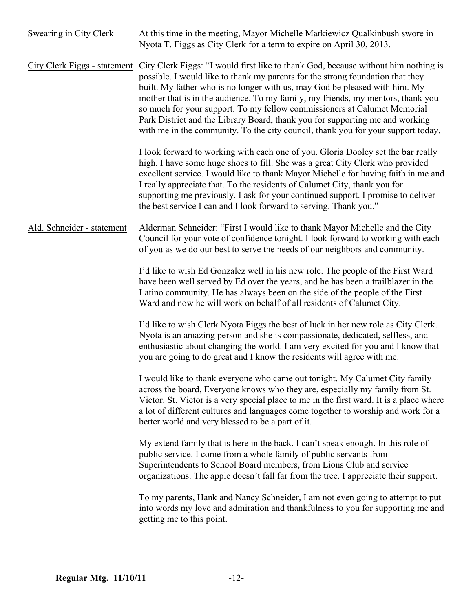| Swearing in City Clerk       | At this time in the meeting, Mayor Michelle Markiewicz Qualkinbush swore in<br>Nyota T. Figgs as City Clerk for a term to expire on April 30, 2013.                                                                                                                                                                                                                                                                                                                                                                                                                                   |
|------------------------------|---------------------------------------------------------------------------------------------------------------------------------------------------------------------------------------------------------------------------------------------------------------------------------------------------------------------------------------------------------------------------------------------------------------------------------------------------------------------------------------------------------------------------------------------------------------------------------------|
| City Clerk Figgs - statement | City Clerk Figgs: "I would first like to thank God, because without him nothing is<br>possible. I would like to thank my parents for the strong foundation that they<br>built. My father who is no longer with us, may God be pleased with him. My<br>mother that is in the audience. To my family, my friends, my mentors, thank you<br>so much for your support. To my fellow commissioners at Calumet Memorial<br>Park District and the Library Board, thank you for supporting me and working<br>with me in the community. To the city council, thank you for your support today. |
|                              | I look forward to working with each one of you. Gloria Dooley set the bar really<br>high. I have some huge shoes to fill. She was a great City Clerk who provided<br>excellent service. I would like to thank Mayor Michelle for having faith in me and<br>I really appreciate that. To the residents of Calumet City, thank you for<br>supporting me previously. I ask for your continued support. I promise to deliver<br>the best service I can and I look forward to serving. Thank you."                                                                                         |
| Ald. Schneider - statement   | Alderman Schneider: "First I would like to thank Mayor Michelle and the City<br>Council for your vote of confidence tonight. I look forward to working with each<br>of you as we do our best to serve the needs of our neighbors and community.                                                                                                                                                                                                                                                                                                                                       |
|                              | I'd like to wish Ed Gonzalez well in his new role. The people of the First Ward<br>have been well served by Ed over the years, and he has been a trailblazer in the<br>Latino community. He has always been on the side of the people of the First<br>Ward and now he will work on behalf of all residents of Calumet City.                                                                                                                                                                                                                                                           |
|                              | I'd like to wish Clerk Nyota Figgs the best of luck in her new role as City Clerk.<br>Nyota is an amazing person and she is compassionate, dedicated, selfless, and<br>enthusiastic about changing the world. I am very excited for you and I know that<br>you are going to do great and I know the residents will agree with me.                                                                                                                                                                                                                                                     |
|                              | I would like to thank everyone who came out tonight. My Calumet City family<br>across the board, Everyone knows who they are, especially my family from St.<br>Victor. St. Victor is a very special place to me in the first ward. It is a place where<br>a lot of different cultures and languages come together to worship and work for a<br>better world and very blessed to be a part of it.                                                                                                                                                                                      |
|                              | My extend family that is here in the back. I can't speak enough. In this role of<br>public service. I come from a whole family of public servants from<br>Superintendents to School Board members, from Lions Club and service<br>organizations. The apple doesn't fall far from the tree. I appreciate their support.                                                                                                                                                                                                                                                                |
|                              | To my parents, Hank and Nancy Schneider, I am not even going to attempt to put<br>into words my love and admiration and thankfulness to you for supporting me and<br>getting me to this point.                                                                                                                                                                                                                                                                                                                                                                                        |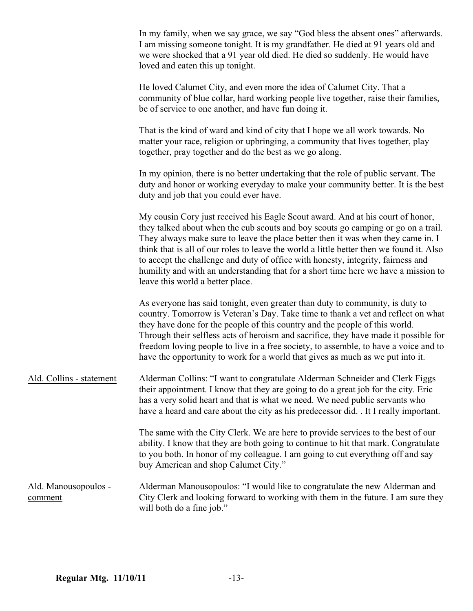|                                 | In my family, when we say grace, we say "God bless the absent ones" afterwards.<br>I am missing someone tonight. It is my grandfather. He died at 91 years old and<br>we were shocked that a 91 year old died. He died so suddenly. He would have<br>loved and eaten this up tonight.                                                                                                                                                                                                                                                                             |
|---------------------------------|-------------------------------------------------------------------------------------------------------------------------------------------------------------------------------------------------------------------------------------------------------------------------------------------------------------------------------------------------------------------------------------------------------------------------------------------------------------------------------------------------------------------------------------------------------------------|
|                                 | He loved Calumet City, and even more the idea of Calumet City. That a<br>community of blue collar, hard working people live together, raise their families,<br>be of service to one another, and have fun doing it.                                                                                                                                                                                                                                                                                                                                               |
|                                 | That is the kind of ward and kind of city that I hope we all work towards. No<br>matter your race, religion or upbringing, a community that lives together, play<br>together, pray together and do the best as we go along.                                                                                                                                                                                                                                                                                                                                       |
|                                 | In my opinion, there is no better undertaking that the role of public servant. The<br>duty and honor or working everyday to make your community better. It is the best<br>duty and job that you could ever have.                                                                                                                                                                                                                                                                                                                                                  |
|                                 | My cousin Cory just received his Eagle Scout award. And at his court of honor,<br>they talked about when the cub scouts and boy scouts go camping or go on a trail.<br>They always make sure to leave the place better then it was when they came in. I<br>think that is all of our roles to leave the world a little better then we found it. Also<br>to accept the challenge and duty of office with honesty, integrity, fairness and<br>humility and with an understanding that for a short time here we have a mission to<br>leave this world a better place. |
|                                 | As everyone has said tonight, even greater than duty to community, is duty to<br>country. Tomorrow is Veteran's Day. Take time to thank a vet and reflect on what<br>they have done for the people of this country and the people of this world.<br>Through their selfless acts of heroism and sacrifice, they have made it possible for<br>freedom loving people to live in a free society, to assemble, to have a voice and to<br>have the opportunity to work for a world that gives as much as we put into it.                                                |
| Ald. Collins - statement        | Alderman Collins: "I want to congratulate Alderman Schneider and Clerk Figgs<br>their appointment. I know that they are going to do a great job for the city. Eric<br>has a very solid heart and that is what we need. We need public servants who<br>have a heard and care about the city as his predecessor did. . It I really important.                                                                                                                                                                                                                       |
|                                 | The same with the City Clerk. We are here to provide services to the best of our<br>ability. I know that they are both going to continue to hit that mark. Congratulate<br>to you both. In honor of my colleague. I am going to cut everything off and say<br>buy American and shop Calumet City."                                                                                                                                                                                                                                                                |
| Ald. Manousopoulos -<br>comment | Alderman Manousopoulos: "I would like to congratulate the new Alderman and<br>City Clerk and looking forward to working with them in the future. I am sure they<br>will both do a fine job."                                                                                                                                                                                                                                                                                                                                                                      |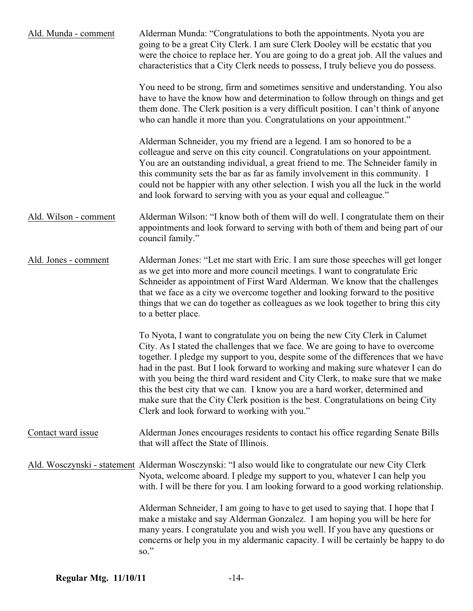| Ald. Munda - comment  | Alderman Munda: "Congratulations to both the appointments. Nyota you are<br>going to be a great City Clerk. I am sure Clerk Dooley will be ecstatic that you<br>were the choice to replace her. You are going to do a great job. All the values and<br>characteristics that a City Clerk needs to possess, I truly believe you do possess.                                                                                                                                                                                                                                                                                                        |
|-----------------------|---------------------------------------------------------------------------------------------------------------------------------------------------------------------------------------------------------------------------------------------------------------------------------------------------------------------------------------------------------------------------------------------------------------------------------------------------------------------------------------------------------------------------------------------------------------------------------------------------------------------------------------------------|
|                       | You need to be strong, firm and sometimes sensitive and understanding. You also<br>have to have the know how and determination to follow through on things and get<br>them done. The Clerk position is a very difficult position. I can't think of anyone<br>who can handle it more than you. Congratulations on your appointment."                                                                                                                                                                                                                                                                                                               |
|                       | Alderman Schneider, you my friend are a legend. I am so honored to be a<br>colleague and serve on this city council. Congratulations on your appointment.<br>You are an outstanding individual, a great friend to me. The Schneider family in<br>this community sets the bar as far as family involvement in this community. I<br>could not be happier with any other selection. I wish you all the luck in the world<br>and look forward to serving with you as your equal and colleague."                                                                                                                                                       |
| Ald. Wilson - comment | Alderman Wilson: "I know both of them will do well. I congratulate them on their<br>appointments and look forward to serving with both of them and being part of our<br>council family."                                                                                                                                                                                                                                                                                                                                                                                                                                                          |
| Ald. Jones - comment  | Alderman Jones: "Let me start with Eric. I am sure those speeches will get longer<br>as we get into more and more council meetings. I want to congratulate Eric<br>Schneider as appointment of First Ward Alderman. We know that the challenges<br>that we face as a city we overcome together and looking forward to the positive<br>things that we can do together as colleagues as we look together to bring this city<br>to a better place.                                                                                                                                                                                                   |
|                       | To Nyota, I want to congratulate you on being the new City Clerk in Calumet<br>City. As I stated the challenges that we face. We are going to have to overcome<br>together. I pledge my support to you, despite some of the differences that we have<br>had in the past. But I look forward to working and making sure whatever I can do<br>with you being the third ward resident and City Clerk, to make sure that we make<br>this the best city that we can. I know you are a hard worker, determined and<br>make sure that the City Clerk position is the best. Congratulations on being City<br>Clerk and look forward to working with you." |
| Contact ward issue    | Alderman Jones encourages residents to contact his office regarding Senate Bills<br>that will affect the State of Illinois.                                                                                                                                                                                                                                                                                                                                                                                                                                                                                                                       |
|                       | Ald. Wosczynski - statement Alderman Wosczynski: "I also would like to congratulate our new City Clerk<br>Nyota, welcome aboard. I pledge my support to you, whatever I can help you<br>with. I will be there for you. I am looking forward to a good working relationship.                                                                                                                                                                                                                                                                                                                                                                       |
|                       | Alderman Schneider, I am going to have to get used to saying that. I hope that I<br>make a mistake and say Alderman Gonzalez. I am hoping you will be here for<br>many years. I congratulate you and wish you well. If you have any questions or<br>concerns or help you in my aldermanic capacity. I will be certainly be happy to do<br>$\mathrm{so."}$                                                                                                                                                                                                                                                                                         |